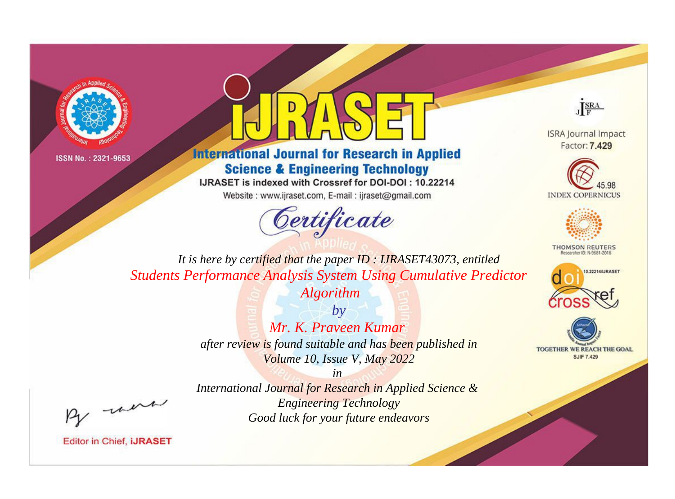



**International Journal for Research in Applied Science & Engineering Technology** 

IJRASET is indexed with Crossref for DOI-DOI: 10.22214

Website: www.ijraset.com, E-mail: ijraset@gmail.com





**ISRA Journal Impact** Factor: 7.429





**THOMSON REUTERS** 



TOGETHER WE REACH THE GOAL **SJIF 7.429** 

*It is here by certified that the paper ID : IJRASET43073, entitled Students Performance Analysis System Using Cumulative Predictor* 

*Algorithm*

*by Mr. K. Praveen Kumar after review is found suitable and has been published in Volume 10, Issue V, May 2022*

*in* 

*International Journal for Research in Applied Science & Engineering Technology Good luck for your future endeavors*

, were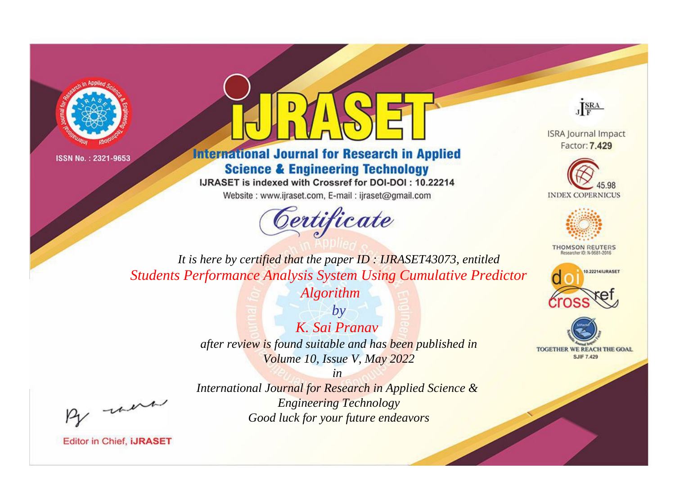



**International Journal for Research in Applied Science & Engineering Technology** 

IJRASET is indexed with Crossref for DOI-DOI: 10.22214

Website: www.ijraset.com, E-mail: ijraset@gmail.com



JERA

**ISRA Journal Impact** Factor: 7.429





**THOMSON REUTERS** 



TOGETHER WE REACH THE GOAL **SJIF 7.429** 

It is here by certified that the paper ID: IJRASET43073, entitled **Students Performance Analysis System Using Cumulative Predictor** 

**Algorithm** 

 $b\nu$ K. Sai Pranav after review is found suitable and has been published in Volume 10, Issue V, May 2022

were

International Journal for Research in Applied Science & **Engineering Technology** Good luck for your future endeavors

 $in$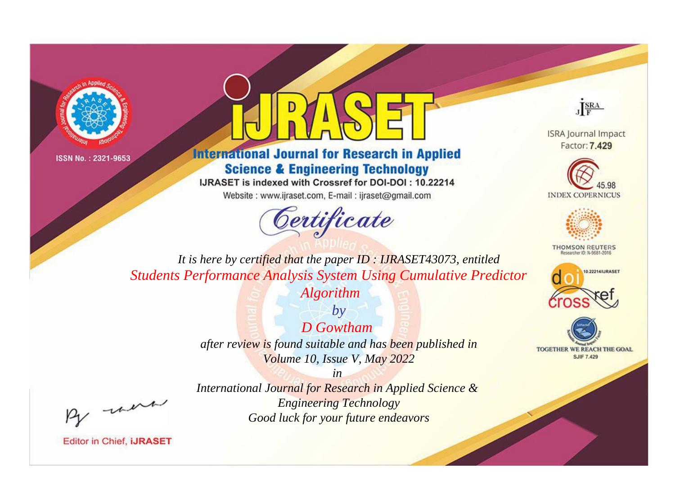



**International Journal for Research in Applied Science & Engineering Technology** 

IJRASET is indexed with Crossref for DOI-DOI: 10.22214

Website: www.ijraset.com, E-mail: ijraset@gmail.com



JERA

**ISRA Journal Impact** Factor: 7.429





**THOMSON REUTERS** 



TOGETHER WE REACH THE GOAL **SJIF 7.429** 

It is here by certified that the paper ID: IJRASET43073, entitled **Students Performance Analysis System Using Cumulative Predictor** 

**Algorithm** 

 $by$ **D** Gowtham after review is found suitable and has been published in Volume 10, Issue V, May 2022

were

International Journal for Research in Applied Science & **Engineering Technology** Good luck for your future endeavors

 $in$